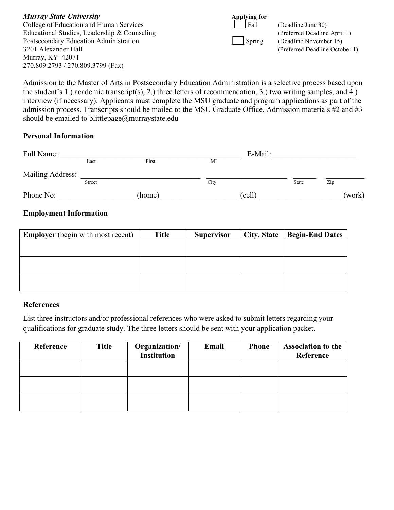| <b>Murray State University</b>               | <b>Applying for</b> |                                |
|----------------------------------------------|---------------------|--------------------------------|
| College of Education and Human Services      | Fall                | (Deadline June 30)             |
| Educational Studies, Leadership & Counseling |                     | (Preferred Deadline April 1)   |
| Postsecondary Education Administration       | Spring              | (Deadline November 15)         |
| 3201 Alexander Hall                          |                     | (Preferred Deadline October 1) |
| Murray, $KY$ 42071                           |                     |                                |
| 270.809.2793 / 270.809.3799 (Fax)            |                     |                                |

Admission to the Master of Arts in Postsecondary Education Administration is a selective process based upon the student's 1.) academic transcript(s), 2.) three letters of recommendation, 3.) two writing samples, and 4.) interview (if necessary). Applicants must complete the MSU graduate and program applications as part of the admission process. Transcripts should be mailed to the MSU Graduate Office. Admission materials #2 and #3 should be emailed to blittlepage@murraystate.edu

### **Personal Information**

| Full Name:       |        |        |      | E-Mail: |       |        |
|------------------|--------|--------|------|---------|-------|--------|
|                  | Last   | First  | MI   |         |       |        |
| Mailing Address: |        |        |      |         |       |        |
|                  | Street |        | City |         | State | Zip    |
| Phone No:        |        | (home) |      | (cell)  |       | (work) |

## **Employment Information**

| <b>Employer</b> (begin with most recent) | <b>Title</b> | <b>Supervisor</b> | City, State   Begin-End Dates |
|------------------------------------------|--------------|-------------------|-------------------------------|
|                                          |              |                   |                               |
|                                          |              |                   |                               |
|                                          |              |                   |                               |
|                                          |              |                   |                               |
|                                          |              |                   |                               |
|                                          |              |                   |                               |

#### **References**

List three instructors and/or professional references who were asked to submit letters regarding your qualifications for graduate study. The three letters should be sent with your application packet.

| Reference | <b>Title</b> | Organization/<br><b>Institution</b> | Email | <b>Phone</b> | <b>Association to the</b><br>Reference |
|-----------|--------------|-------------------------------------|-------|--------------|----------------------------------------|
|           |              |                                     |       |              |                                        |
|           |              |                                     |       |              |                                        |
|           |              |                                     |       |              |                                        |